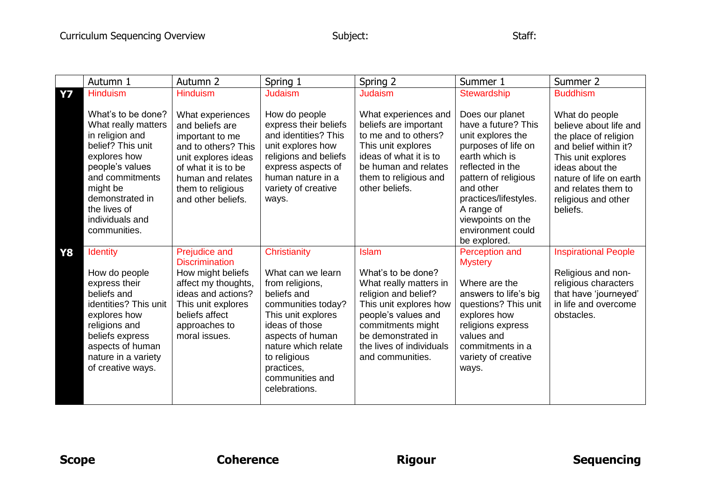|           | Autumn 1                                                                                                                                                                                                                  | Autumn <sub>2</sub>                                                                                                                                                                         | Spring 1                                                                                                                                                                                                                                       | Spring 2                                                                                                                                                                                                                         | Summer 1                                                                                                                                                                                                                                                       | Summer 2                                                                                                                                                                                                                 |
|-----------|---------------------------------------------------------------------------------------------------------------------------------------------------------------------------------------------------------------------------|---------------------------------------------------------------------------------------------------------------------------------------------------------------------------------------------|------------------------------------------------------------------------------------------------------------------------------------------------------------------------------------------------------------------------------------------------|----------------------------------------------------------------------------------------------------------------------------------------------------------------------------------------------------------------------------------|----------------------------------------------------------------------------------------------------------------------------------------------------------------------------------------------------------------------------------------------------------------|--------------------------------------------------------------------------------------------------------------------------------------------------------------------------------------------------------------------------|
| <b>Y7</b> | <b>Hinduism</b>                                                                                                                                                                                                           | <b>Hinduism</b>                                                                                                                                                                             | <b>Judaism</b>                                                                                                                                                                                                                                 | <b>Judaism</b>                                                                                                                                                                                                                   | Stewardship                                                                                                                                                                                                                                                    | <b>Buddhism</b>                                                                                                                                                                                                          |
|           | What's to be done?<br>What really matters<br>in religion and<br>belief? This unit<br>explores how<br>people's values<br>and commitments<br>might be<br>demonstrated in<br>the lives of<br>individuals and<br>communities. | What experiences<br>and beliefs are<br>important to me<br>and to others? This<br>unit explores ideas<br>of what it is to be<br>human and relates<br>them to religious<br>and other beliefs. | How do people<br>express their beliefs<br>and identities? This<br>unit explores how<br>religions and beliefs<br>express aspects of<br>human nature in a<br>variety of creative<br>ways.                                                        | What experiences and<br>beliefs are important<br>to me and to others?<br>This unit explores<br>ideas of what it is to<br>be human and relates<br>them to religious and<br>other beliefs.                                         | Does our planet<br>have a future? This<br>unit explores the<br>purposes of life on<br>earth which is<br>reflected in the<br>pattern of religious<br>and other<br>practices/lifestyles.<br>A range of<br>viewpoints on the<br>environment could<br>be explored. | What do people<br>believe about life and<br>the place of religion<br>and belief within it?<br>This unit explores<br>ideas about the<br>nature of life on earth<br>and relates them to<br>religious and other<br>beliefs. |
| <b>Y8</b> | <b>Identity</b><br>How do people<br>express their<br>beliefs and<br>identities? This unit<br>explores how<br>religions and<br>beliefs express<br>aspects of human<br>nature in a variety<br>of creative ways.             | Prejudice and<br><b>Discrimination</b><br>How might beliefs<br>affect my thoughts,<br>ideas and actions?<br>This unit explores<br>beliefs affect<br>approaches to<br>moral issues.          | Christianity<br>What can we learn<br>from religions,<br>beliefs and<br>communities today?<br>This unit explores<br>ideas of those<br>aspects of human<br>nature which relate<br>to religious<br>practices,<br>communities and<br>celebrations. | <b>Islam</b><br>What's to be done?<br>What really matters in<br>religion and belief?<br>This unit explores how<br>people's values and<br>commitments might<br>be demonstrated in<br>the lives of individuals<br>and communities. | Perception and<br><b>Mystery</b><br>Where are the<br>answers to life's big<br>questions? This unit<br>explores how<br>religions express<br>values and<br>commitments in a<br>variety of creative<br>ways.                                                      | <b>Inspirational People</b><br>Religious and non-<br>religious characters<br>that have 'journeyed'<br>in life and overcome<br>obstacles.                                                                                 |